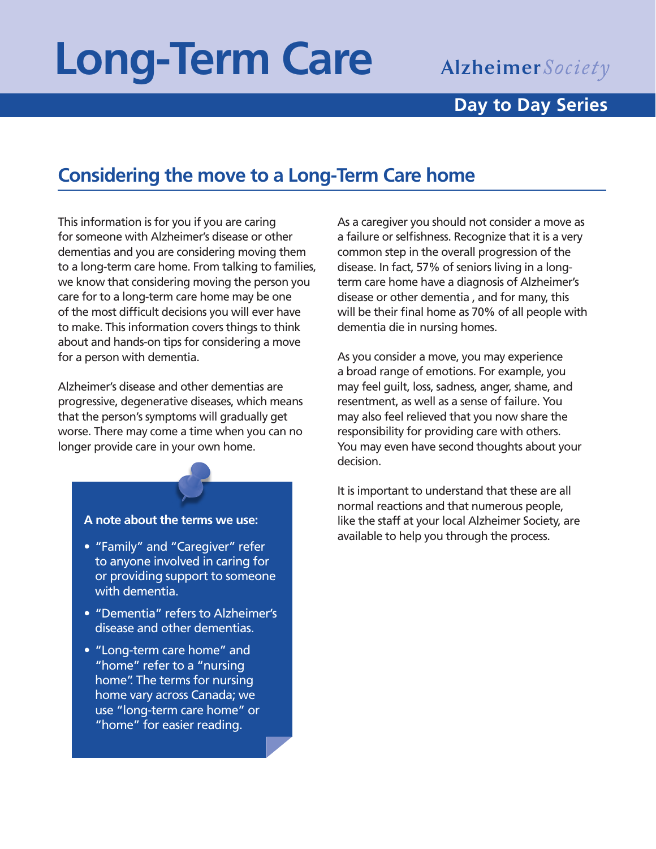# **Long-Term Care**

## **Alzheimer** Society

#### **Day to Day Series**

### **Considering the move to a Long-Term Care home**

This information is for you if you are caring for someone with Alzheimer's disease or other dementias and you are considering moving them to a long-term care home. From talking to families, we know that considering moving the person you care for to a long-term care home may be one of the most difficult decisions you will ever have to make. This information covers things to think about and hands-on tips for considering a move for a person with dementia.

Alzheimer's disease and other dementias are progressive, degenerative diseases, which means that the person's symptoms will gradually get worse. There may come a time when you can no longer provide care in your own home.

#### **A note about the terms we use:**

- "Family" and "Caregiver" refer to anyone involved in caring for or providing support to someone with dementia.
- "Dementia" refers to Alzheimer's disease and other dementias.
- "Long-term care home" and "home" refer to a "nursing home". The terms for nursing home vary across Canada; we use "long-term care home" or "home" for easier reading.

As a caregiver you should not consider a move as a failure or selfishness. Recognize that it is a very common step in the overall progression of the disease. In fact, 57% of seniors living in a longterm care home have a diagnosis of Alzheimer's disease or other dementia , and for many, this will be their final home as 70% of all people with dementia die in nursing homes.

As you consider a move, you may experience a broad range of emotions. For example, you may feel guilt, loss, sadness, anger, shame, and resentment, as well as a sense of failure. You may also feel relieved that you now share the responsibility for providing care with others. You may even have second thoughts about your decision.

It is important to understand that these are all normal reactions and that numerous people, like the staff at your local Alzheimer Society, are available to help you through the process.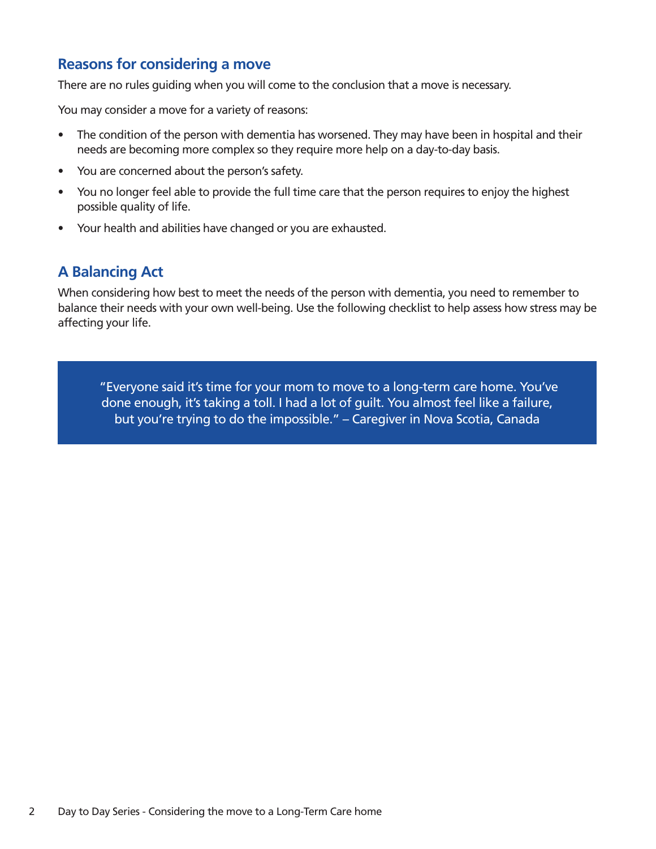#### **Reasons for considering a move**

There are no rules guiding when you will come to the conclusion that a move is necessary.

You may consider a move for a variety of reasons:

- The condition of the person with dementia has worsened. They may have been in hospital and their needs are becoming more complex so they require more help on a day-to-day basis.
- You are concerned about the person's safety.
- You no longer feel able to provide the full time care that the person requires to enjoy the highest possible quality of life.
- Your health and abilities have changed or you are exhausted.

#### **A Balancing Act**

When considering how best to meet the needs of the person with dementia, you need to remember to balance their needs with your own well-being. Use the following checklist to help assess how stress may be affecting your life.

 "Everyone said it's time for your mom to move to a long-term care home. You've done enough, it's taking a toll. I had a lot of guilt. You almost feel like a failure, but you're trying to do the impossible." – Caregiver in Nova Scotia, Canada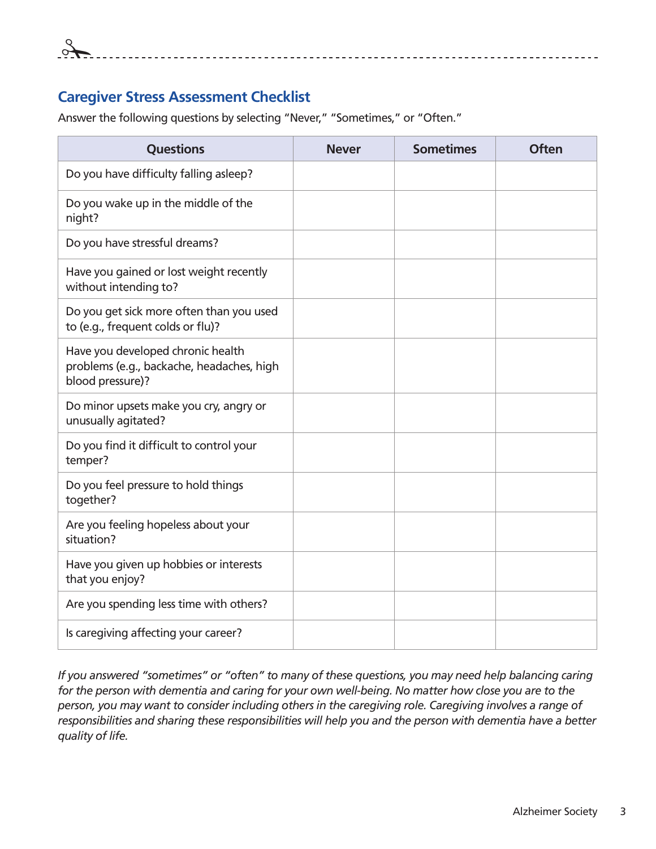

#### **Caregiver Stress Assessment Checklist**

Answer the following questions by selecting "Never," "Sometimes," or "Often."

| <b>Questions</b>                                                                                   | <b>Never</b> | <b>Sometimes</b> | <b>Often</b> |
|----------------------------------------------------------------------------------------------------|--------------|------------------|--------------|
| Do you have difficulty falling asleep?                                                             |              |                  |              |
| Do you wake up in the middle of the<br>night?                                                      |              |                  |              |
| Do you have stressful dreams?                                                                      |              |                  |              |
| Have you gained or lost weight recently<br>without intending to?                                   |              |                  |              |
| Do you get sick more often than you used<br>to (e.g., frequent colds or flu)?                      |              |                  |              |
| Have you developed chronic health<br>problems (e.g., backache, headaches, high<br>blood pressure)? |              |                  |              |
| Do minor upsets make you cry, angry or<br>unusually agitated?                                      |              |                  |              |
| Do you find it difficult to control your<br>temper?                                                |              |                  |              |
| Do you feel pressure to hold things<br>together?                                                   |              |                  |              |
| Are you feeling hopeless about your<br>situation?                                                  |              |                  |              |
| Have you given up hobbies or interests<br>that you enjoy?                                          |              |                  |              |
| Are you spending less time with others?                                                            |              |                  |              |
| Is caregiving affecting your career?                                                               |              |                  |              |

*If you answered "sometimes" or "often" to many of these questions, you may need help balancing caring for the person with dementia and caring for your own well-being. No matter how close you are to the person, you may want to consider including others in the caregiving role. Caregiving involves a range of responsibilities and sharing these responsibilities will help you and the person with dementia have a better quality of life.*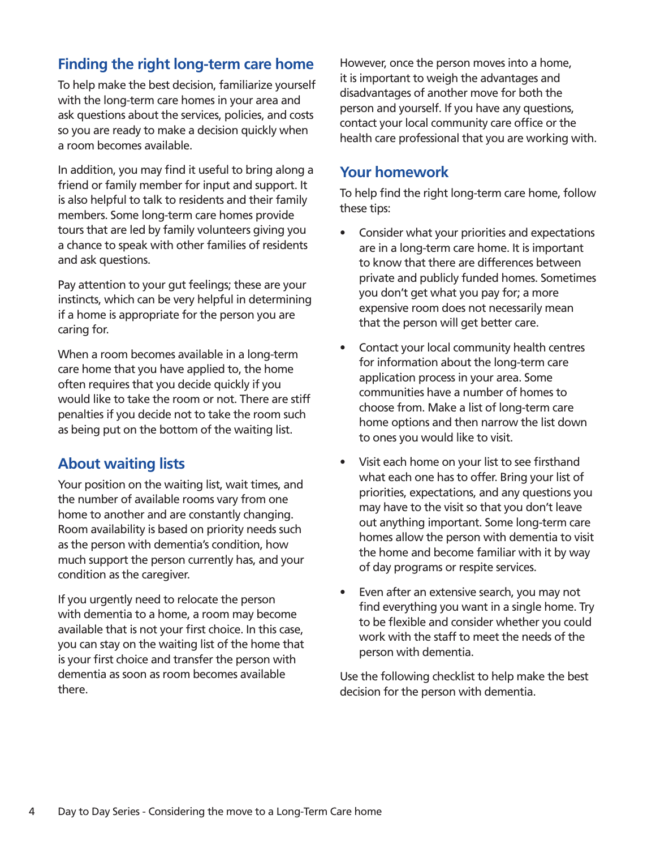#### **Finding the right long-term care home**

To help make the best decision, familiarize yourself with the long-term care homes in your area and ask questions about the services, policies, and costs so you are ready to make a decision quickly when a room becomes available.

In addition, you may find it useful to bring along a friend or family member for input and support. It is also helpful to talk to residents and their family members. Some long-term care homes provide tours that are led by family volunteers giving you a chance to speak with other families of residents and ask questions.

Pay attention to your gut feelings; these are your instincts, which can be very helpful in determining if a home is appropriate for the person you are caring for.

When a room becomes available in a long-term care home that you have applied to, the home often requires that you decide quickly if you would like to take the room or not. There are stiff penalties if you decide not to take the room such as being put on the bottom of the waiting list.

#### **About waiting lists**

Your position on the waiting list, wait times, and the number of available rooms vary from one home to another and are constantly changing. Room availability is based on priority needs such as the person with dementia's condition, how much support the person currently has, and your condition as the caregiver.

If you urgently need to relocate the person with dementia to a home, a room may become available that is not your first choice. In this case, you can stay on the waiting list of the home that is your first choice and transfer the person with dementia as soon as room becomes available there.

However, once the person moves into a home, it is important to weigh the advantages and disadvantages of another move for both the person and yourself. If you have any questions, contact your local community care office or the health care professional that you are working with.

#### **Your homework**

To help find the right long-term care home, follow these tips:

- Consider what your priorities and expectations are in a long-term care home. It is important to know that there are differences between private and publicly funded homes. Sometimes you don't get what you pay for; a more expensive room does not necessarily mean that the person will get better care.
- Contact your local community health centres for information about the long-term care application process in your area. Some communities have a number of homes to choose from. Make a list of long-term care home options and then narrow the list down to ones you would like to visit.
- Visit each home on your list to see firsthand what each one has to offer. Bring your list of priorities, expectations, and any questions you may have to the visit so that you don't leave out anything important. Some long-term care homes allow the person with dementia to visit the home and become familiar with it by way of day programs or respite services.
- Even after an extensive search, you may not find everything you want in a single home. Try to be flexible and consider whether you could work with the staff to meet the needs of the person with dementia.

Use the following checklist to help make the best decision for the person with dementia.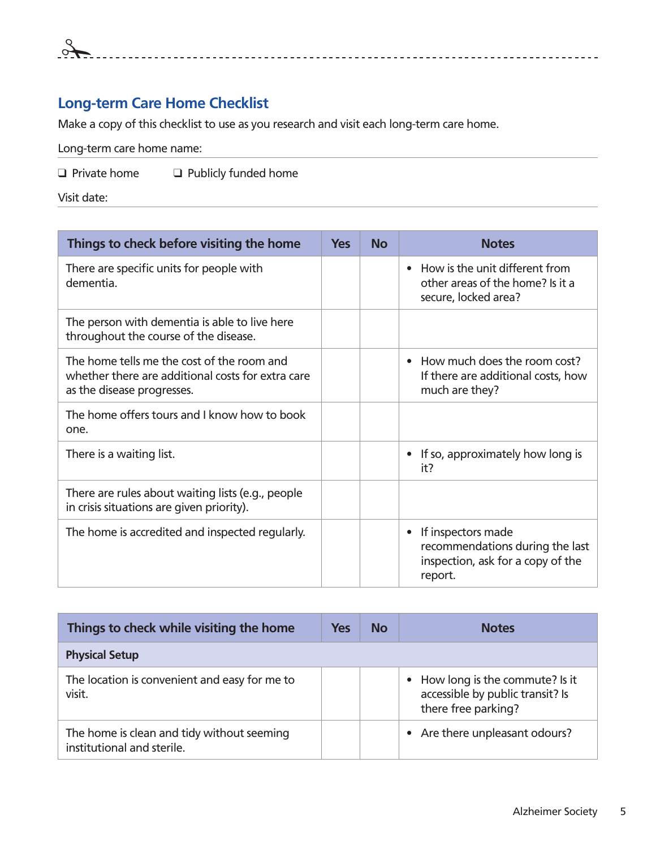#### **Long-term Care Home Checklist**

Make a copy of this checklist to use as you research and visit each long-term care home.

Long-term care home name:

 $\Box$  Private home  $\Box$  Publicly funded home

Visit date:

| Things to check before visiting the home                                                                                      | <b>Yes</b> | <b>No</b> | <b>Notes</b>                                                                                                       |
|-------------------------------------------------------------------------------------------------------------------------------|------------|-----------|--------------------------------------------------------------------------------------------------------------------|
| There are specific units for people with<br>dementia.                                                                         |            |           | How is the unit different from<br>$\bullet$<br>other areas of the home? Is it a<br>secure, locked area?            |
| The person with dementia is able to live here<br>throughout the course of the disease.                                        |            |           |                                                                                                                    |
| The home tells me the cost of the room and<br>whether there are additional costs for extra care<br>as the disease progresses. |            |           | How much does the room cost?<br>If there are additional costs, how<br>much are they?                               |
| The home offers tours and I know how to book<br>one.                                                                          |            |           |                                                                                                                    |
| There is a waiting list.                                                                                                      |            |           | If so, approximately how long is<br>it?                                                                            |
| There are rules about waiting lists (e.g., people<br>in crisis situations are given priority).                                |            |           |                                                                                                                    |
| The home is accredited and inspected regularly.                                                                               |            |           | If inspectors made<br>$\bullet$<br>recommendations during the last<br>inspection, ask for a copy of the<br>report. |

| Things to check while visiting the home                                  | <b>Yes</b> | <b>No</b> | <b>Notes</b>                                                                              |
|--------------------------------------------------------------------------|------------|-----------|-------------------------------------------------------------------------------------------|
| <b>Physical Setup</b>                                                    |            |           |                                                                                           |
| The location is convenient and easy for me to<br>visit.                  |            |           | How long is the commute? Is it<br>accessible by public transit? Is<br>there free parking? |
| The home is clean and tidy without seeming<br>institutional and sterile. |            |           | Are there unpleasant odours?                                                              |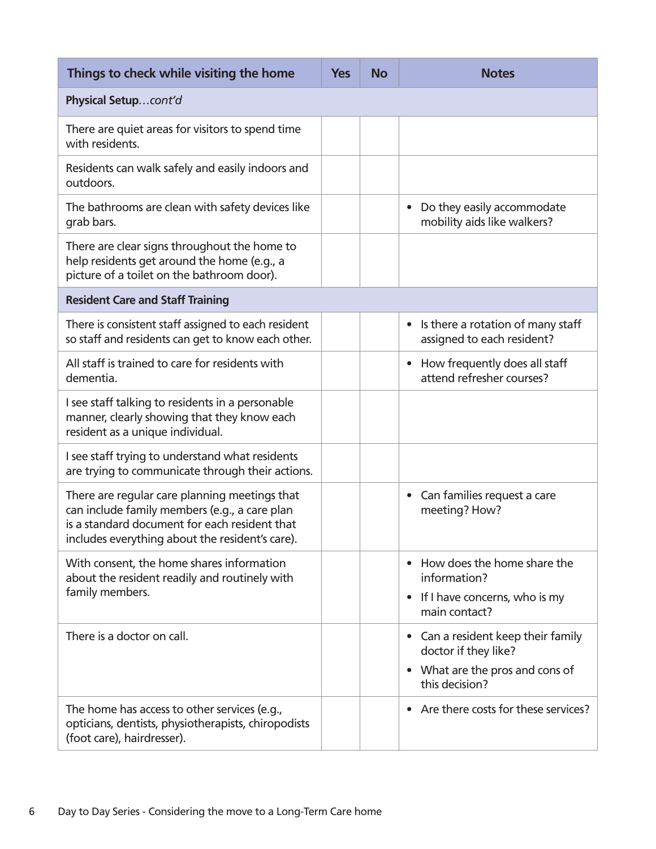| Things to check while visiting the home                                                                                                                                                            | <b>Yes</b> | <b>No</b> | <b>Notes</b>                                                                                                                          |
|----------------------------------------------------------------------------------------------------------------------------------------------------------------------------------------------------|------------|-----------|---------------------------------------------------------------------------------------------------------------------------------------|
| Physical Setupcont'd                                                                                                                                                                               |            |           |                                                                                                                                       |
| There are quiet areas for visitors to spend time<br>with residents.                                                                                                                                |            |           |                                                                                                                                       |
| Residents can walk safely and easily indoors and<br>outdoors.                                                                                                                                      |            |           |                                                                                                                                       |
| The bathrooms are clean with safety devices like<br>grab bars.                                                                                                                                     |            |           | Do they easily accommodate<br>$\bullet$<br>mobility aids like walkers?                                                                |
| There are clear signs throughout the home to<br>help residents get around the home (e.g., a<br>picture of a toilet on the bathroom door).                                                          |            |           |                                                                                                                                       |
| <b>Resident Care and Staff Training</b>                                                                                                                                                            |            |           |                                                                                                                                       |
| There is consistent staff assigned to each resident<br>so staff and residents can get to know each other.                                                                                          |            |           | Is there a rotation of many staff<br>$\bullet$<br>assigned to each resident?                                                          |
| All staff is trained to care for residents with<br>dementia.                                                                                                                                       |            |           | How frequently does all staff<br>$\bullet$<br>attend refresher courses?                                                               |
| I see staff talking to residents in a personable<br>manner, clearly showing that they know each<br>resident as a unique individual.                                                                |            |           |                                                                                                                                       |
| I see staff trying to understand what residents<br>are trying to communicate through their actions.                                                                                                |            |           |                                                                                                                                       |
| There are regular care planning meetings that<br>can include family members (e.g., a care plan<br>is a standard document for each resident that<br>includes everything about the resident's care). |            |           | Can families request a care<br>$\bullet$<br>meeting? How?                                                                             |
| With consent, the home shares information<br>about the resident readily and routinely with<br>family members.                                                                                      |            |           | How does the home share the<br>$\bullet$<br>information?<br>If I have concerns, who is my<br>$\bullet$<br>main contact?               |
| There is a doctor on call.                                                                                                                                                                         |            |           | Can a resident keep their family<br>$\bullet$<br>doctor if they like?<br>What are the pros and cons of<br>$\bullet$<br>this decision? |
| The home has access to other services (e.g.,<br>opticians, dentists, physiotherapists, chiropodists<br>(foot care), hairdresser).                                                                  |            |           | Are there costs for these services?<br>$\bullet$                                                                                      |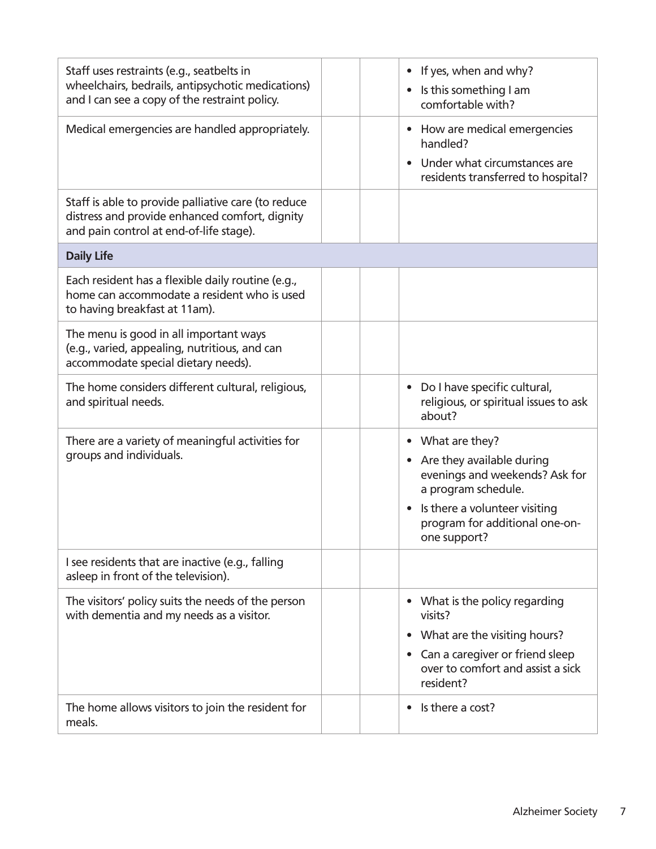| Staff uses restraints (e.g., seatbelts in<br>wheelchairs, bedrails, antipsychotic medications)<br>and I can see a copy of the restraint policy.  | If yes, when and why?<br>$\bullet$<br>Is this something I am<br>$\bullet$<br>comfortable with?                                                                                                                                 |
|--------------------------------------------------------------------------------------------------------------------------------------------------|--------------------------------------------------------------------------------------------------------------------------------------------------------------------------------------------------------------------------------|
| Medical emergencies are handled appropriately.                                                                                                   | How are medical emergencies<br>$\bullet$<br>handled?<br>Under what circumstances are<br>$\bullet$<br>residents transferred to hospital?                                                                                        |
| Staff is able to provide palliative care (to reduce<br>distress and provide enhanced comfort, dignity<br>and pain control at end-of-life stage). |                                                                                                                                                                                                                                |
| <b>Daily Life</b>                                                                                                                                |                                                                                                                                                                                                                                |
| Each resident has a flexible daily routine (e.g.,<br>home can accommodate a resident who is used<br>to having breakfast at 11am).                |                                                                                                                                                                                                                                |
| The menu is good in all important ways<br>(e.g., varied, appealing, nutritious, and can<br>accommodate special dietary needs).                   |                                                                                                                                                                                                                                |
| The home considers different cultural, religious,<br>and spiritual needs.                                                                        | Do I have specific cultural,<br>$\bullet$<br>religious, or spiritual issues to ask<br>about?                                                                                                                                   |
| There are a variety of meaningful activities for<br>groups and individuals.                                                                      | What are they?<br>$\bullet$<br>Are they available during<br>$\bullet$<br>evenings and weekends? Ask for<br>a program schedule.<br>Is there a volunteer visiting<br>$\bullet$<br>program for additional one-on-<br>one support? |
| I see residents that are inactive (e.g., falling<br>asleep in front of the television).                                                          |                                                                                                                                                                                                                                |
| The visitors' policy suits the needs of the person<br>with dementia and my needs as a visitor.                                                   | What is the policy regarding<br>$\bullet$<br>visits?<br>What are the visiting hours?<br>$\bullet$<br>Can a caregiver or friend sleep<br>$\bullet$<br>over to comfort and assist a sick<br>resident?                            |
| The home allows visitors to join the resident for<br>meals.                                                                                      | Is there a cost?<br>$\bullet$                                                                                                                                                                                                  |